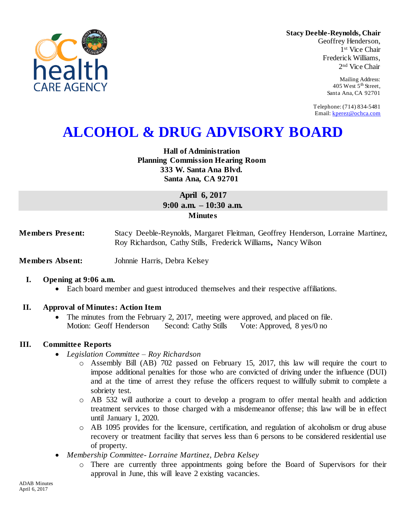

**Stacy Deeble-Reynolds, Chair** Geoffrey Henderson,

1 st Vice Chair Frederick Williams, 2 nd Vice Chair

> Mailing Address: 405 West  $5<sup>th</sup>$  Street, Santa Ana, CA 92701

Telephone: (714) 834-5481 Email: [kperez@ochca.com](mailto:kperez@ochca.com)

# **ALCOHOL & DRUG ADVISORY BOARD**

**Hall of Administration Planning Commission Hearing Room 333 W. Santa Ana Blvd. Santa Ana, CA 92701** 

> **April 6, 2017 9:00 a.m. – 10:30 a.m. Minutes**

**Members Present:** Stacy Deeble-Reynolds, Margaret Fleitman, Geoffrey Henderson, Lorraine Martinez, Roy Richardson, Cathy Stills, Frederick Williams**,** Nancy Wilson

**Members Absent:** Johnnie Harris, Debra Kelsey

#### **I. Opening at 9:06 a.m.**

Each board member and guest introduced themselves and their respective affiliations.

#### **II. Approval of Minutes: Action Item**

• The minutes from the February 2, 2017, meeting were approved, and placed on file. Motion: Geoff Henderson Second: Cathy Stills Vote: Approved, 8 yes/0 no

#### **III. Committee Reports**

- *Legislation Committee – Roy Richardson*
	- o Assembly Bill (AB) 702 passed on February 15, 2017, this law will require the court to impose additional penalties for those who are convicted of driving under the influence (DUI) and at the time of arrest they refuse the officers request to willfully submit to complete a sobriety test.
	- o AB 532 will authorize a court to develop a program to offer mental health and addiction treatment services to those charged with a misdemeanor offense; this law will be in effect until January 1, 2020.
	- o AB 1095 provides for the licensure, certification, and regulation of alcoholism or drug abuse recovery or treatment facility that serves less than 6 persons to be considered residential use of property.
- *Membership Committee- Lorraine Martinez, Debra Kelsey* 
	- o There are currently three appointments going before the Board of Supervisors for their approval in June, this will leave 2 existing vacancies.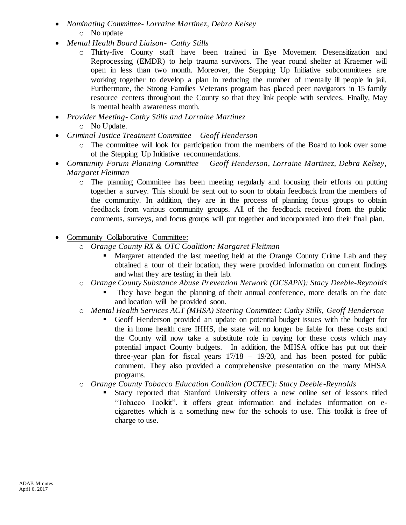- *Nominating Committee- Lorraine Martinez, Debra Kelsey* o No update
- *Mental Health Board Liaison- Cathy Stills*
	- o Thirty-five County staff have been trained in Eye Movement Desensitization and Reprocessing (EMDR) to help trauma survivors. The year round shelter at Kraemer will open in less than two month. Moreover, the Stepping Up Initiative subcommittees are working together to develop a plan in reducing the number of mentally ill people in jail. Furthermore, the Strong Families Veterans program has placed peer navigators in 15 family resource centers throughout the County so that they link people with services. Finally, May is mental health awareness month.
- *Provider Meeting- Cathy Stills and Lorraine Martinez*
	- o No Update.
- *Criminal Justice Treatment Committee – Geoff Henderson*
	- o The committee will look for participation from the members of the Board to look over some of the Stepping Up Initiative recommendations.
- *Community Forum Planning Committee – Geoff Henderson, Lorraine Martinez, Debra Kelsey, Margaret Fleitman*
	- o The planning Committee has been meeting regularly and focusing their efforts on putting together a survey. This should be sent out to soon to obtain feedback from the members of the community. In addition, they are in the process of planning focus groups to obtain feedback from various community groups. All of the feedback received from the public comments, surveys, and focus groups will put together and incorporated into their final plan.
- Community Collaborative Committee:
	- o *Orange County RX & OTC Coalition: Margaret Fleitman*
		- **Margaret attended the last meeting held at the Orange County Crime Lab and they** obtained a tour of their location, they were provided information on current findings and what they are testing in their lab.
	- o *Orange County Substance Abuse Prevention Network (OCSAPN): Stacy Deeble-Reynolds*
		- They have begun the planning of their annual conference, more details on the date and location will be provided soon.
	- o *Mental Health Services ACT (MHSA) Steering Committee: Cathy Stills, Geoff Henderson*
		- Geoff Henderson provided an update on potential budget issues with the budget for the in home health care IHHS, the state will no longer be liable for these costs and the County will now take a substitute role in paying for these costs which may potential impact County budgets. In addition, the MHSA office has put out their three-year plan for fiscal years 17/18 – 19/20, and has been posted for public comment. They also provided a comprehensive presentation on the many MHSA programs.
	- o *Orange County Tobacco Education Coalition (OCTEC): Stacy Deeble-Reynolds*
		- Stacy reported that Stanford University offers a new online set of lessons titled "Tobacco Toolkit", it offers great information and includes information on ecigarettes which is a something new for the schools to use. This toolkit is free of charge to use.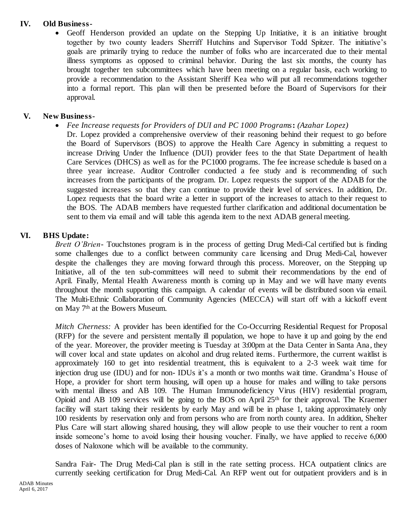## **IV. Old Business-**

 Geoff Henderson provided an update on the Stepping Up Initiative, it is an initiative brought together by two county leaders Sherriff Hutchins and Supervisor Todd Spitzer. The initiative's goals are primarily trying to reduce the number of folks who are incarcerated due to their mental illness symptoms as opposed to criminal behavior. During the last six months, the county has brought together ten subcommittees which have been meeting on a regular basis, each working to provide a recommendation to the Assistant Sheriff Kea who will put all recommendations together into a formal report. This plan will then be presented before the Board of Supervisors for their approval.

# **V. New Business-**

*Fee Increase requests for Providers of DUI and PC 1000 Programs***:** *(Azahar Lopez)*

Dr. Lopez provided a comprehensive overview of their reasoning behind their request to go before the Board of Supervisors (BOS) to approve the Health Care Agency in submitting a request to increase Driving Under the Influence (DUI) provider fees to the that State Department of health Care Services (DHCS) as well as for the PC1000 programs. The fee increase schedule is based on a three year increase. Auditor Controller conducted a fee study and is recommending of such increases from the participants of the program. Dr. Lopez requests the support of the ADAB for the suggested increases so that they can continue to provide their level of services. In addition, Dr. Lopez requests that the board write a letter in support of the increases to attach to their request to the BOS. The ADAB members have requested further clarification and additional documentation be sent to them via email and will table this agenda item to the next ADAB general meeting.

# **VI. BHS Update:**

*Brett O'Brien-* Touchstones program is in the process of getting Drug Medi-Cal certified but is finding some challenges due to a conflict between community care licensing and Drug Medi-Cal, however despite the challenges they are moving forward through this process. Moreover, on the Stepping up Initiative, all of the ten sub-committees will need to submit their recommendations by the end of April. Finally, Mental Health Awareness month is coming up in May and we will have many events throughout the month supporting this campaign. A calendar of events will be distributed soon via email. The Multi-Ethnic Collaboration of Community Agencies (MECCA) will start off with a kickoff event on May 7th at the Bowers Museum.

*Mitch Cherness:* A provider has been identified for the Co-Occurring Residential Request for Proposal (RFP) for the severe and persistent mentally ill population, we hope to have it up and going by the end of the year. Moreover, the provider meeting is Tuesday at 3:00pm at the Data Center in Santa Ana, they will cover local and state updates on alcohol and drug related items. Furthermore, the current waitlist is approximately 160 to get into residential treatment, this is equivalent to a 2-3 week wait time for injection drug use (IDU) and for non-IDUs it's a month or two months wait time. Grandma's House of Hope, a provider for short term housing, will open up a house for males and willing to take persons with mental illness and AB 109. The Human Immunodeficiency Virus (HIV) residential program, Opioid and AB 109 services will be going to the BOS on April 25th for their approval. The Kraemer facility will start taking their residents by early May and will be in phase 1, taking approximately only 100 residents by reservation only and from persons who are from north county area. In addition, Shelter Plus Care will start allowing shared housing, they will allow people to use their voucher to rent a room inside someone's home to avoid losing their housing voucher. Finally, we have applied to receive 6,000 doses of Naloxone which will be available to the community.

Sandra Fair- The Drug Medi-Cal plan is still in the rate setting process. HCA outpatient clinics are currently seeking certification for Drug Medi-Cal. An RFP went out for outpatient providers and is in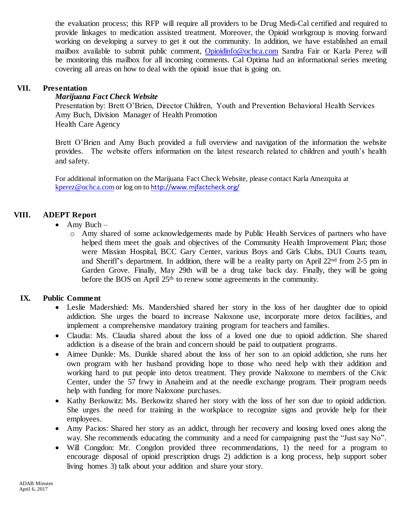the evaluation process; this RFP will require all providers to be Drug Medi-Cal certified and required to provide linkages to medication assisted treatment. Moreover, the Opioid workgroup is moving forward working on developing a survey to get it out the community. In addition, we have established an email mailbox available to submit public comment, [Opioidinfo@ochca.com](mailto:Opioidinfo@ochca.com) Sandra Fair or Karla Perez will be monitoring this mailbox for all incoming comments. Cal Optima had an informational series meeting covering all areas on how to deal with the opioid issue that is going on.

## **VII. Presentation**

#### *Marijuana Fact Check Website*

 Presentation by: Brett O'Brien, Director Children, Youth and Prevention Behavioral Health Services Amy Buch, Division Manager of Health Promotion Health Care Agency

Brett O'Brien and Amy Buch provided a full overview and navigation of the information the website provides. The website offers information on the latest research related to children and youth's health and safety.

For additional information on the Marijuana Fact Check Website, please contact Karla Amezquita at [kperez@ochca.com](mailto:kperez@ochca.com) or log on to <http://www.mjfactcheck.org/>

## **VIII. ADEPT Report**

- $\bullet$  Amy Buch
	- o Amy shared of some acknowledgements made by Public Health Services of partners who have helped them meet the goals and objectives of the Community Health Improvement Plan; those were Mission Hospital, BCC Gary Center, various Boys and Girls Clubs, DUI Courts team, and Sheriff's department. In addition, there will be a reality party on April  $22<sup>nd</sup>$  from 2-5 pm in Garden Grove. Finally, May 29th will be a drug take back day. Finally, they will be going before the BOS on April 25<sup>th</sup> to renew some agreements in the community.

## **IX. Public Comment**

- Leslie Madershied: Ms. Mandershied shared her story in the loss of her daughter due to opioid addiction. She urges the board to increase Naloxone use, incorporate more detox facilities, and implement a comprehensive mandatory training program for teachers and families.
- Claudia: Ms. Claudia shared about the loss of a loved one due to opioid addiction. She shared addiction is a disease of the brain and concern should be paid to outpatient programs.
- Aimee Dunkle: Ms. Dunkle shared about the loss of her son to an opioid addiction, she runs her own program with her husband providing hope to those who need help with their addition and working hard to put people into detox treatment. They provide Naloxone to members of the Civic Center, under the 57 frwy in Anaheim and at the needle exchange program. Their program needs help with funding for more Naloxone purchases.
- Kathy Berkowitz: Ms. Berkowitz shared her story with the loss of her son due to opioid addiction. She urges the need for training in the workplace to recognize signs and provide help for their employees.
- Amy Pacios: Shared her story as an addict, through her recovery and loosing loved ones along the way. She recommends educating the community and a need for campaigning past the "Just say No".
- Will Congdon: Mr. Congdon provided three recommendations, 1) the need for a program to encourage disposal of opioid prescription drugs 2) addiction is a long process, help support sober living homes 3) talk about your addition and share your story.